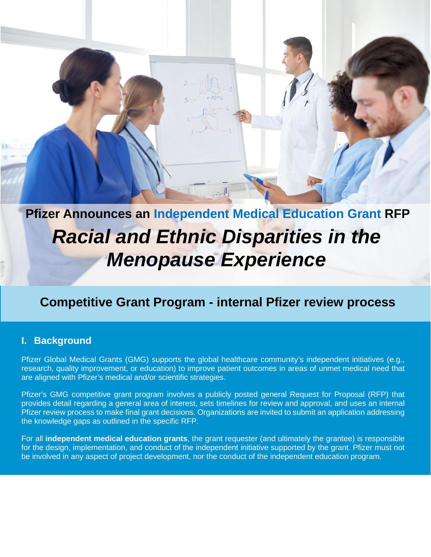

# **Competitive Grant Program - internal Pfizer review process**

### **I. Background**

Pfizer Global Medical Grants (GMG) supports the global healthcare community's independent initiatives (e.g., research, quality improvement, or education) to improve patient outcomes in areas of unmet medical need that are aligned with Pfizer's medical and/or scientific strategies.

Pfizer's GMG competitive grant program involves a publicly posted general Request for Proposal (RFP) that provides detail regarding a general area of interest, sets timelines for review and approval, and uses an internal Pfizer review process to make final grant decisions. Organizations are invited to submit an application addressing the knowledge gaps as outlined in the specific RFP.

For all **independent medical education grants**, the grant requester (and ultimately the grantee) is responsible for the design, implementation, and conduct of the independent initiative supported by the grant. Pfizer must not be involved in any aspect of project development, nor the conduct of the independent education program.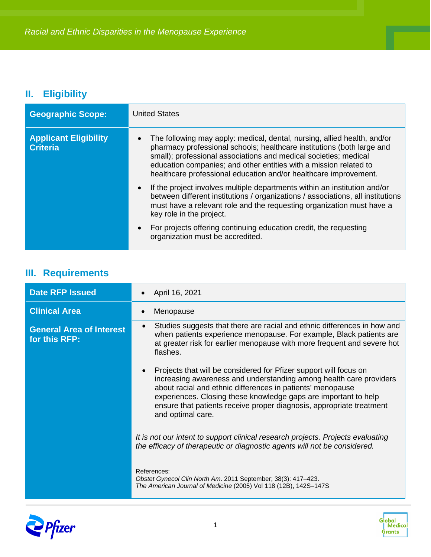## **II. Eligibility**

| <b>Geographic Scope:</b>                        | <b>United States</b>                                                                                                                                                                                                                                                                                                                                            |
|-------------------------------------------------|-----------------------------------------------------------------------------------------------------------------------------------------------------------------------------------------------------------------------------------------------------------------------------------------------------------------------------------------------------------------|
| <b>Applicant Eligibility</b><br><b>Criteria</b> | The following may apply: medical, dental, nursing, allied health, and/or<br>pharmacy professional schools; healthcare institutions (both large and<br>small); professional associations and medical societies; medical<br>education companies; and other entities with a mission related to<br>healthcare professional education and/or healthcare improvement. |
|                                                 | If the project involves multiple departments within an institution and/or<br>$\bullet$<br>between different institutions / organizations / associations, all institutions<br>must have a relevant role and the requesting organization must have a<br>key role in the project.                                                                                  |
|                                                 | For projects offering continuing education credit, the requesting<br>$\bullet$<br>organization must be accredited.                                                                                                                                                                                                                                              |

## **III. Requirements**

| <b>Date RFP Issued</b>                           | April 16, 2021                                                                                                                                                                                                                                                                                                                                                        |
|--------------------------------------------------|-----------------------------------------------------------------------------------------------------------------------------------------------------------------------------------------------------------------------------------------------------------------------------------------------------------------------------------------------------------------------|
| <b>Clinical Area</b>                             | Menopause                                                                                                                                                                                                                                                                                                                                                             |
| <b>General Area of Interest</b><br>for this RFP: | Studies suggests that there are racial and ethnic differences in how and<br>when patients experience menopause. For example, Black patients are<br>at greater risk for earlier menopause with more frequent and severe hot<br>flashes.                                                                                                                                |
|                                                  | Projects that will be considered for Pfizer support will focus on<br>increasing awareness and understanding among health care providers<br>about racial and ethnic differences in patients' menopause<br>experiences. Closing these knowledge gaps are important to help<br>ensure that patients receive proper diagnosis, appropriate treatment<br>and optimal care. |
|                                                  | It is not our intent to support clinical research projects. Projects evaluating<br>the efficacy of therapeutic or diagnostic agents will not be considered.                                                                                                                                                                                                           |
|                                                  | References:<br>Obstet Gynecol Clin North Am. 2011 September; 38(3): 417-423.<br>The American Journal of Medicine (2005) Vol 118 (12B), 142S-147S                                                                                                                                                                                                                      |



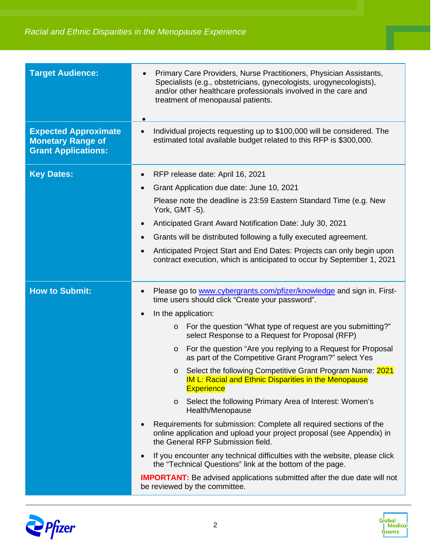| <b>Target Audience:</b>                                                               | Primary Care Providers, Nurse Practitioners, Physician Assistants,<br>Specialists (e.g., obstetricians, gynecologists, urogynecologists),<br>and/or other healthcare professionals involved in the care and<br>treatment of menopausal patients. |
|---------------------------------------------------------------------------------------|--------------------------------------------------------------------------------------------------------------------------------------------------------------------------------------------------------------------------------------------------|
| <b>Expected Approximate</b><br><b>Monetary Range of</b><br><b>Grant Applications:</b> | Individual projects requesting up to \$100,000 will be considered. The<br>$\bullet$<br>estimated total available budget related to this RFP is \$300,000.                                                                                        |
| <b>Key Dates:</b>                                                                     | RFP release date: April 16, 2021<br>$\bullet$                                                                                                                                                                                                    |
|                                                                                       | Grant Application due date: June 10, 2021                                                                                                                                                                                                        |
|                                                                                       | Please note the deadline is 23:59 Eastern Standard Time (e.g. New<br>York, GMT -5).                                                                                                                                                              |
|                                                                                       | Anticipated Grant Award Notification Date: July 30, 2021                                                                                                                                                                                         |
|                                                                                       | Grants will be distributed following a fully executed agreement.                                                                                                                                                                                 |
|                                                                                       | Anticipated Project Start and End Dates: Projects can only begin upon<br>contract execution, which is anticipated to occur by September 1, 2021                                                                                                  |
| <b>How to Submit:</b>                                                                 | Please go to www.cybergrants.com/pfizer/knowledge and sign in. First-<br>time users should click "Create your password".                                                                                                                         |
|                                                                                       | In the application:                                                                                                                                                                                                                              |
|                                                                                       | For the question "What type of request are you submitting?"<br>$\circ$<br>select Response to a Request for Proposal (RFP)                                                                                                                        |
|                                                                                       | For the question "Are you replying to a Request for Proposal<br>$\circ$<br>as part of the Competitive Grant Program?" select Yes                                                                                                                 |
|                                                                                       | Select the following Competitive Grant Program Name: 2021<br>$\circ$<br><u>IM L: Racial and Ethnic Disparities in the Menopause</u><br><b>Experience</b>                                                                                         |
|                                                                                       | Select the following Primary Area of Interest: Women's<br>$\circ$<br>Health/Menopause                                                                                                                                                            |
|                                                                                       | Requirements for submission: Complete all required sections of the<br>online application and upload your project proposal (see Appendix) in<br>the General RFP Submission field.                                                                 |
|                                                                                       | If you encounter any technical difficulties with the website, please click<br>the "Technical Questions" link at the bottom of the page.                                                                                                          |
|                                                                                       | <b>IMPORTANT:</b> Be advised applications submitted after the due date will not<br>be reviewed by the committee.                                                                                                                                 |



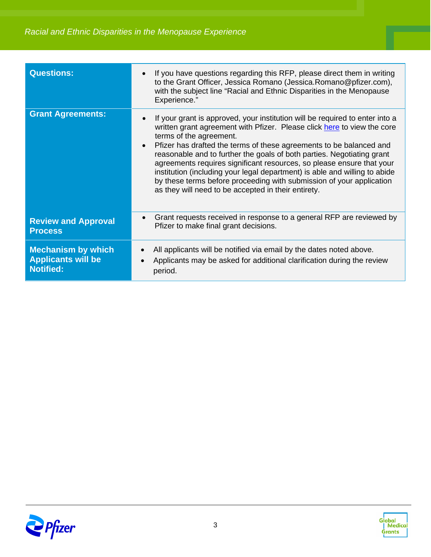| <b>Questions:</b>                                                          | If you have questions regarding this RFP, please direct them in writing<br>to the Grant Officer, Jessica Romano (Jessica. Romano@pfizer.com),<br>with the subject line "Racial and Ethnic Disparities in the Menopause<br>Experience."                                                                                                                                                                                                                                                                                                                                                                                                 |
|----------------------------------------------------------------------------|----------------------------------------------------------------------------------------------------------------------------------------------------------------------------------------------------------------------------------------------------------------------------------------------------------------------------------------------------------------------------------------------------------------------------------------------------------------------------------------------------------------------------------------------------------------------------------------------------------------------------------------|
| <b>Grant Agreements:</b>                                                   | If your grant is approved, your institution will be required to enter into a<br>written grant agreement with Pfizer. Please click here to view the core<br>terms of the agreement.<br>Pfizer has drafted the terms of these agreements to be balanced and<br>$\bullet$<br>reasonable and to further the goals of both parties. Negotiating grant<br>agreements requires significant resources, so please ensure that your<br>institution (including your legal department) is able and willing to abide<br>by these terms before proceeding with submission of your application<br>as they will need to be accepted in their entirety. |
| <b>Review and Approval</b><br><b>Process</b>                               | Grant requests received in response to a general RFP are reviewed by<br>$\bullet$<br>Pfizer to make final grant decisions.                                                                                                                                                                                                                                                                                                                                                                                                                                                                                                             |
| <b>Mechanism by which</b><br><b>Applicants will be</b><br><b>Notified:</b> | All applicants will be notified via email by the dates noted above.<br>Applicants may be asked for additional clarification during the review<br>period.                                                                                                                                                                                                                                                                                                                                                                                                                                                                               |



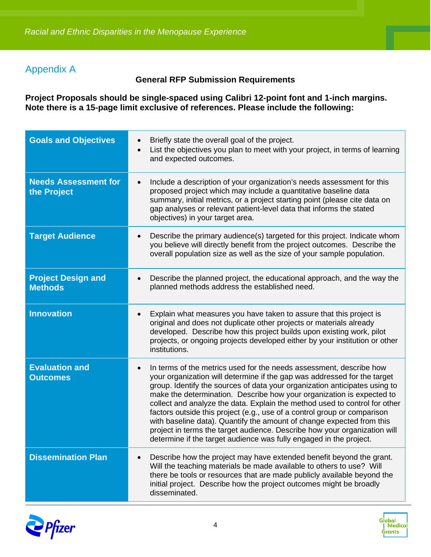### Appendix A

#### **General RFP Submission Requirements**

**Project Proposals should be single-spaced using Calibri 12-point font and 1-inch margins. Note there is a 15-page limit exclusive of references. Please include the following:**

| <b>Goals and Objectives</b>                 | Briefly state the overall goal of the project.<br>List the objectives you plan to meet with your project, in terms of learning<br>$\bullet$<br>and expected outcomes.                                                                                                                                                                                                                                                                                                                                                                                                                                                                                                                                     |
|---------------------------------------------|-----------------------------------------------------------------------------------------------------------------------------------------------------------------------------------------------------------------------------------------------------------------------------------------------------------------------------------------------------------------------------------------------------------------------------------------------------------------------------------------------------------------------------------------------------------------------------------------------------------------------------------------------------------------------------------------------------------|
| <b>Needs Assessment for</b><br>the Project  | Include a description of your organization's needs assessment for this<br>$\bullet$<br>proposed project which may include a quantitative baseline data<br>summary, initial metrics, or a project starting point (please cite data on<br>gap analyses or relevant patient-level data that informs the stated<br>objectives) in your target area.                                                                                                                                                                                                                                                                                                                                                           |
| <b>Target Audience</b>                      | Describe the primary audience(s) targeted for this project. Indicate whom<br>$\bullet$<br>you believe will directly benefit from the project outcomes. Describe the<br>overall population size as well as the size of your sample population.                                                                                                                                                                                                                                                                                                                                                                                                                                                             |
| <b>Project Design and</b><br><b>Methods</b> | Describe the planned project, the educational approach, and the way the<br>$\bullet$<br>planned methods address the established need.                                                                                                                                                                                                                                                                                                                                                                                                                                                                                                                                                                     |
| <b>Innovation</b>                           | Explain what measures you have taken to assure that this project is<br>$\bullet$<br>original and does not duplicate other projects or materials already<br>developed. Describe how this project builds upon existing work, pilot<br>projects, or ongoing projects developed either by your institution or other<br>institutions.                                                                                                                                                                                                                                                                                                                                                                          |
| <b>Evaluation and</b><br><b>Outcomes</b>    | In terms of the metrics used for the needs assessment, describe how<br>$\bullet$<br>your organization will determine if the gap was addressed for the target<br>group. Identify the sources of data your organization anticipates using to<br>make the determination. Describe how your organization is expected to<br>collect and analyze the data. Explain the method used to control for other<br>factors outside this project (e.g., use of a control group or comparison<br>with baseline data). Quantify the amount of change expected from this<br>project in terms the target audience. Describe how your organization will<br>determine if the target audience was fully engaged in the project. |
| <b>Dissemination Plan</b>                   | Describe how the project may have extended benefit beyond the grant.<br>Will the teaching materials be made available to others to use? Will<br>there be tools or resources that are made publicly available beyond the<br>initial project. Describe how the project outcomes might be broadly<br>disseminated.                                                                                                                                                                                                                                                                                                                                                                                           |